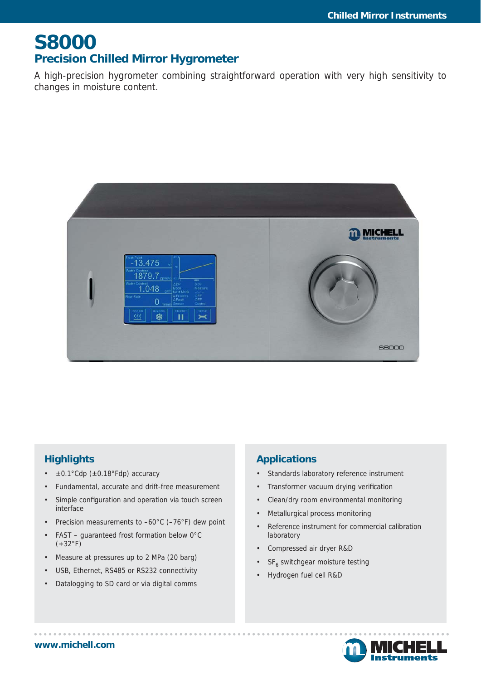# **S8000 Precision Chilled Mirror Hygrometer**

A high-precision hygrometer combining straightforward operation with very high sensitivity to changes in moisture content.



## **Highlights**

- ±0.1°Cdp (±0.18°Fdp) accuracy
- Fundamental, accurate and drift-free measurement
- Simple configuration and operation via touch screen interface
- Precision measurements to –60°C (–76°F) dew point
- FAST guaranteed frost formation below 0°C  $(+32^{\circ}F)$
- Measure at pressures up to 2 MPa (20 barg)
- USB, Ethernet, RS485 or RS232 connectivity
- Datalogging to SD card or via digital comms

## **Applications**

- Standards laboratory reference instrument
- Transformer vacuum drying verification
- Clean/dry room environmental monitoring
- Metallurgical process monitoring
- Reference instrument for commercial calibration laboratory
- Compressed air dryer R&D
- SF<sub>6</sub> switchgear moisture testing
- Hydrogen fuel cell R&D

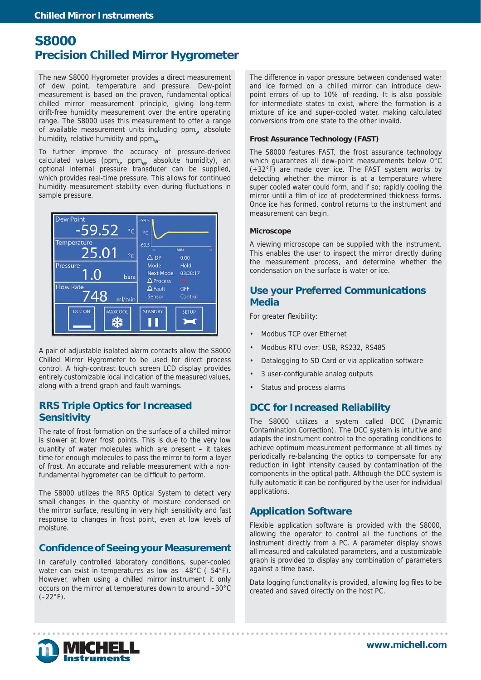## **S8000 Precision Chilled Mirror Hygrometer**

The new S8000 Hygrometer provides a direct measurement of dew point, temperature and pressure. Dew-point measurement is based on the proven, fundamental optical chilled mirror measurement principle, giving long-term drift-free humidity measurement over the entire operating range. The S8000 uses this measurement to offer a range of available measurement units including ppm<sub>y</sub>, absolute humidity, relative humidity and  $ppm_{\text{W}}$ .

To further improve the accuracy of pressure-derived calculated values (ppm<sub>v</sub>, ppm<sub>w</sub>, absolute humidity), an optional internal pressure transducer can be supplied, which provides real-time pressure. This allows for continued humidity measurement stability even during fluctuations in sample pressure.



A pair of adjustable isolated alarm contacts allow the S8000 Chilled Mirror Hygrometer to be used for direct process control. A high-contrast touch screen LCD display provides entirely customizable local indication of the measured values, along with a trend graph and fault warnings.

### **RRS Triple Optics for Increased Sensitivity**

The rate of frost formation on the surface of a chilled mirror is slower at lower frost points. This is due to the very low quantity of water molecules which are present – it takes time for enough molecules to pass the mirror to form a layer of frost. An accurate and reliable measurement with a nonfundamental hygrometer can be difficult to perform.

The S8000 utilizes the RRS Optical System to detect very small changes in the quantity of moisture condensed on the mirror surface, resulting in very high sensitivity and fast response to changes in frost point, even at low levels of moisture.

#### **Confidence of Seeing your Measurement**

In carefully controlled laboratory conditions, super-cooled water can exist in temperatures as low as –48°C (–54°F). However, when using a chilled mirror instrument it only occurs on the mirror at temperatures down to around –30°C  $(-22^{\circ}F)$ .

The difference in vapor pressure between condensed water and ice formed on a chilled mirror can introduce dewpoint errors of up to 10% of reading. It is also possible for intermediate states to exist, where the formation is a mixture of ice and super-cooled water, making calculated conversions from one state to the other invalid.

#### **Frost Assurance Technology (FAST)**

The S8000 features FAST, the frost assurance technology which guarantees all dew-point measurements below 0°C (+32°F) are made over ice. The FAST system works by detecting whether the mirror is at a temperature where super cooled water could form, and if so; rapidly cooling the mirror until a film of ice of predetermined thickness forms. Once ice has formed, control returns to the instrument and measurement can begin.

#### **Microscope**

A viewing microscope can be supplied with the instrument. This enables the user to inspect the mirror directly during the measurement process, and determine whether the condensation on the surface is water or ice.

#### **Use your Preferred Communications Media**

For greater flexibility:

- Modbus TCP over Ethernet
- Modbus RTU over: USB, RS232, RS485
- Datalogging to SD Card or via application software
- 3 user-configurable analog outputs
- Status and process alarms

### **DCC for Increased Reliability**

The S8000 utilizes a system called DCC (Dynamic Contamination Correction). The DCC system is intuitive and adapts the instrument control to the operating conditions to achieve optimum measurement performance at all times by periodically re-balancing the optics to compensate for any reduction in light intensity caused by contamination of the components in the optical path. Although the DCC system is fully automatic it can be configured by the user for individual applications.

#### **Application Software**

Flexible application software is provided with the S8000, allowing the operator to control all the functions of the instrument directly from a PC. A parameter display shows all measured and calculated parameters, and a customizable graph is provided to display any combination of parameters against a time base.

Data logging functionality is provided, allowing log files to be created and saved directly on the host PC.

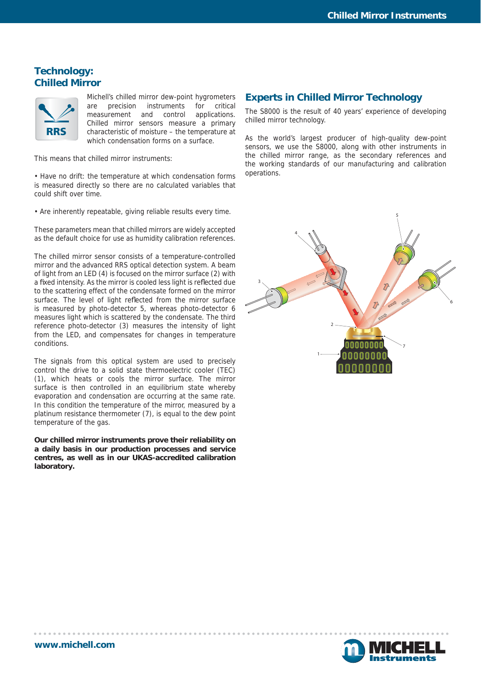#### **Technology: Chilled Mirror**



Michell's chilled mirror dew-point hygrometers are precision instruments for critical<br>measurement and control applications. measurement and control Chilled mirror sensors measure a primary characteristic of moisture – the temperature at which condensation forms on a surface.

This means that chilled mirror instruments:

• Have no drift: the temperature at which condensation forms is measured directly so there are no calculated variables that could shift over time.

• Are inherently repeatable, giving reliable results every time.

These parameters mean that chilled mirrors are widely accepted as the default choice for use as humidity calibration references.

The chilled mirror sensor consists of a temperature-controlled mirror and the advanced RRS optical detection system. A beam of light from an LED (4) is focused on the mirror surface (2) with a fixed intensity. As the mirror is cooled less light is reflected due to the scattering effect of the condensate formed on the mirror surface. The level of light reflected from the mirror surface is measured by photo-detector 5, whereas photo-detector 6 measures light which is scattered by the condensate. The third reference photo-detector (3) measures the intensity of light from the LED, and compensates for changes in temperature conditions.

The signals from this optical system are used to precisely control the drive to a solid state thermoelectric cooler (TEC) (1), which heats or cools the mirror surface. The mirror surface is then controlled in an equilibrium state whereby evaporation and condensation are occurring at the same rate. In this condition the temperature of the mirror, measured by a platinum resistance thermometer (7), is equal to the dew point temperature of the gas.

**Our chilled mirror instruments prove their reliability on a daily basis in our production processes and service centres, as well as in our UKAS-accredited calibration laboratory.**

#### **Experts in Chilled Mirror Technology**

The S8000 is the result of 40 years' experience of developing chilled mirror technology.

As the world's largest producer of high-quality dew-point sensors, we use the S8000, along with other instruments in the chilled mirror range, as the secondary references and the working standards of our manufacturing and calibration operations.